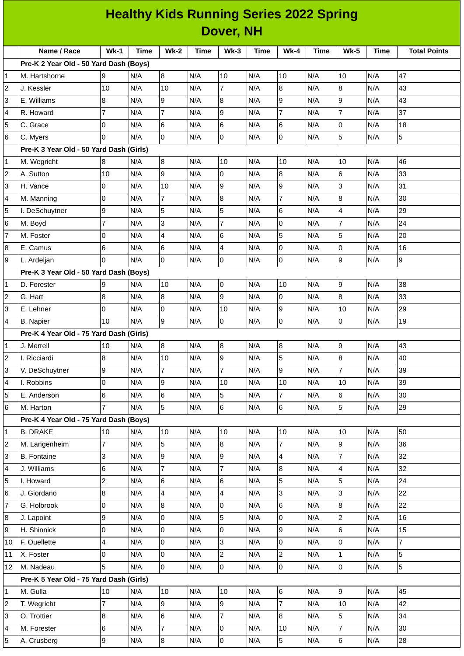| <b>Healthy Kids Running Series 2022 Spring</b> |                                         |                         |      |                         |             |                  |             |                 |      |                  |             |                     |
|------------------------------------------------|-----------------------------------------|-------------------------|------|-------------------------|-------------|------------------|-------------|-----------------|------|------------------|-------------|---------------------|
| Dover, NH                                      |                                         |                         |      |                         |             |                  |             |                 |      |                  |             |                     |
|                                                | Name / Race                             | $Wk-1$                  | Time | <b>Wk-2</b>             | <b>Time</b> | $Wk-3$           | <b>Time</b> | <b>Wk-4</b>     | Time | <b>Wk-5</b>      | <b>Time</b> | <b>Total Points</b> |
|                                                | Pre-K 2 Year Old - 50 Yard Dash (Boys)  |                         |      |                         |             |                  |             |                 |      |                  |             |                     |
| 1                                              | M. Hartshorne                           | 9                       | N/A  | 8                       | N/A         | $10\,$           | N/A         | 10              | N/A  | 10               | N/A         | 47                  |
| 2                                              | J. Kessler                              | 10                      | N/A  | 10                      | N/A         | 7                | N/A         | 8               | N/A  | $\boldsymbol{8}$ | N/A         | 43                  |
| 3                                              | E. Williams                             | 8                       | N/A  | 9                       | N/A         | 8                | N/A         | 9               | N/A  | 9                | N/A         | 43                  |
| 4                                              | R. Howard                               | $\overline{7}$          | N/A  | $\overline{7}$          | N/A         | 9                | N/A         | $\overline{7}$  | N/A  | $\overline{7}$   | N/A         | 37                  |
| 5                                              | C. Grace                                | $\overline{0}$          | N/A  | 6                       | N/A         | $\,$ 6           | N/A         | 6               | N/A  | 0                | N/A         | 18                  |
| 6                                              | C. Myers                                | $\Omega$                | N/A  | 0                       | N/A         | 0                | N/A         | 0               | N/A  | 5                | N/A         | 5                   |
|                                                | Pre-K 3 Year Old - 50 Yard Dash (Girls) |                         |      |                         |             |                  |             |                 |      |                  |             |                     |
| $\mathbf 1$                                    | M. Wegricht                             | 8                       | N/A  | 8                       | N/A         | 10               | N/A         | 10              | N/A  | 10               | N/A         | 46                  |
| $\overline{c}$                                 | A. Sutton                               | 10                      | N/A  | 9                       | N/A         | 0                | N/A         | 8               | N/A  | 6                | N/A         | 33                  |
| 3                                              | H. Vance                                | 0                       | N/A  | 10                      | N/A         | 9                | N/A         | 9               | N/A  | 3                | N/A         | 31                  |
| 4                                              | M. Manning                              | 0                       | N/A  | 7                       | N/A         | $\bf 8$          | N/A         | $\overline{7}$  | N/A  | $\boldsymbol{8}$ | N/A         | 30                  |
| 5                                              | I. DeSchuytner                          | 9                       | N/A  | 5                       | N/A         | 5                | N/A         | $\,$ 6          | N/A  | 4                | N/A         | 29                  |
| 6                                              | M. Boyd                                 | $\overline{7}$          | N/A  | 3                       | N/A         | $\overline{7}$   | N/A         | 0               | N/A  | 7                | N/A         | 24                  |
| 7                                              | M. Foster                               | 0                       | N/A  | 4                       | N/A         | 6                | N/A         | 5               | N/A  | 5                | N/A         | 20                  |
| 8                                              | E. Camus                                | 6                       | N/A  | 6                       | N/A         | 4                | N/A         | 0               | N/A  | 0                | N/A         | 16                  |
| 9                                              | L. Ardeljan                             | l0                      | N/A  | 0                       | N/A         | 0                | N/A         | $\mathbf 0$     | N/A  | 9                | N/A         | 9                   |
|                                                | Pre-K 3 Year Old - 50 Yard Dash (Boys)  |                         |      |                         |             |                  |             |                 |      |                  |             |                     |
| 1                                              | D. Forester                             | 9                       | N/A  | 10                      | N/A         | 0                | N/A         | 10              | N/A  | 9                | N/A         | 38                  |
| 2                                              | G. Hart                                 | 8                       | N/A  | 8                       | N/A         | 9                | N/A         | 0               | N/A  | 8                | N/A         | 33                  |
| 3                                              | E. Lehner                               | $\Omega$                | N/A  | 0                       | N/A         | 10               | N/A         | 9               | N/A  | 10               | N/A         | 29                  |
| 4                                              | <b>B.</b> Napier                        | 10                      | N/A  | 9                       | N/A         | 0                | N/A         | $\pmb{0}$       | N/A  | 0                | N/A         | 19                  |
|                                                | Pre-K 4 Year Old - 75 Yard Dash (Girls) |                         |      |                         |             |                  |             |                 |      |                  |             |                     |
| 1                                              | J. Merrell                              | 10                      | N/A  | $\, 8$                  | N/A         | $\bf 8$          | N/A         | $\bf 8$         | N/A  | 9                | N/A         | 43                  |
| 2                                              | I. Ricciardi                            | 8                       | N/A  | 10                      | N/A         | $\boldsymbol{9}$ | N/A         | 5               | N/A  | 8                | N/A         | 40                  |
| 3                                              | V. DeSchuytner                          | 9                       | N/A  | 7                       | N/A         | $\overline{7}$   | N/A         | 9               | N/A  | $\overline{7}$   | N/A         | 39                  |
| 4                                              | I. Robbins                              | 0                       | N/A  | 9                       | N/A         | 10               | N/A         | 10              | N/A  | 10               | N/A         | 39                  |
| 5                                              | E. Anderson                             | 6                       | N/A  | 6                       | N/A         | 5                | N/A         | $\overline{7}$  | N/A  | 6                | N/A         | 30                  |
| 6                                              | M. Harton                               | $\overline{7}$          | N/A  | 5                       | N/A         | 6                | N/A         | 6               | N/A  | 5                | N/A         | 29                  |
| Pre-K 4 Year Old - 75 Yard Dash (Boys)         |                                         |                         |      |                         |             |                  |             |                 |      |                  |             |                     |
| 1                                              | <b>B. DRAKE</b>                         | 10                      | N/A  | 10                      | N/A         | $10\,$           | N/A         | 10              | N/A  | 10               | N/A         | 50                  |
| 2                                              | M. Langenheim                           | $\overline{7}$          | N/A  | 5                       | N/A         | 8                | N/A         | $\overline{7}$  | N/A  | 9                | N/A         | 36                  |
| 3                                              | <b>B.</b> Fontaine                      | 3                       | N/A  | 9                       | N/A         | 9                | N/A         | 4               | N/A  | $\overline{7}$   | N/A         | 32                  |
| 4                                              | J. Williams                             | 6                       | N/A  | $\overline{7}$          | N/A         | $\overline{7}$   | N/A         | 8               | N/A  | 4                | N/A         | 32                  |
| 5                                              | I. Howard                               | $\overline{c}$          | N/A  | 6                       | N/A         | 6                | N/A         | 5               | N/A  | 5                | N/A         | 24                  |
| 6                                              | J. Giordano                             | 8                       | N/A  | $\overline{\mathbf{4}}$ | N/A         | 4                | N/A         | 3               | N/A  | 3                | N/A         | 22                  |
| 7                                              | G. Holbrook                             | 0                       | N/A  | 8                       | N/A         | 0                | N/A         | 6               | N/A  | $\bf{8}$         | N/A         | 22                  |
| 8                                              | J. Lapoint                              | 9                       | N/A  | 0                       | N/A         | 5                | N/A         | 0               | N/A  | $\overline{c}$   | N/A         | 16                  |
| 9                                              | H. Shinnick                             | 0                       | N/A  | 0                       | N/A         | 0                | N/A         | 9               | N/A  | 6                | N/A         | 15                  |
| 10                                             | F. Ouellette                            | $\overline{\mathbf{4}}$ | N/A  | 0                       | N/A         | 3                | N/A         | $\overline{0}$  | N/A  | 0                | N/A         | $\overline{7}$      |
| 11                                             | X. Foster                               | 0                       | N/A  | 0                       | N/A         | $\overline{c}$   | N/A         | $\overline{c}$  | N/A  | $\mathbf{1}$     | N/A         | 5                   |
| 12                                             | M. Nadeau                               | 5                       | N/A  | $\mathbf 0$             | N/A         | $\mathbf 0$      | N/A         | $\overline{0}$  | N/A  | $\overline{0}$   | N/A         | $\overline{5}$      |
| Pre-K 5 Year Old - 75 Yard Dash (Girls)        |                                         |                         |      |                         |             |                  |             |                 |      |                  |             |                     |
| 1                                              | M. Gulla                                | 10                      | N/A  | 10                      | N/A         | 10               | N/A         | $6\overline{6}$ | N/A  | l9               | N/A         | 45                  |
| 2                                              | T. Wegricht                             | $\overline{7}$          | N/A  | 9                       | N/A         | 9                | N/A         | $\overline{7}$  | N/A  | 10               | N/A         | 42                  |
| 3                                              | O. Trottier                             | 8                       | N/A  | 6                       | N/A         | $\overline{7}$   | N/A         | 8               | N/A  | 5                | N/A         | 34                  |
| 4                                              | M. Forester                             | 6                       | N/A  | $\overline{7}$          | N/A         | 0                | N/A         | $10\,$          | N/A  | $\overline{7}$   | N/A         | 30                  |
| 5                                              | A. Crusberg                             | 9                       | N/A  | $\bf{8}$                | N/A         | $\overline{0}$   | N/A         | 5               | N/A  | 6                | N/A         | 28                  |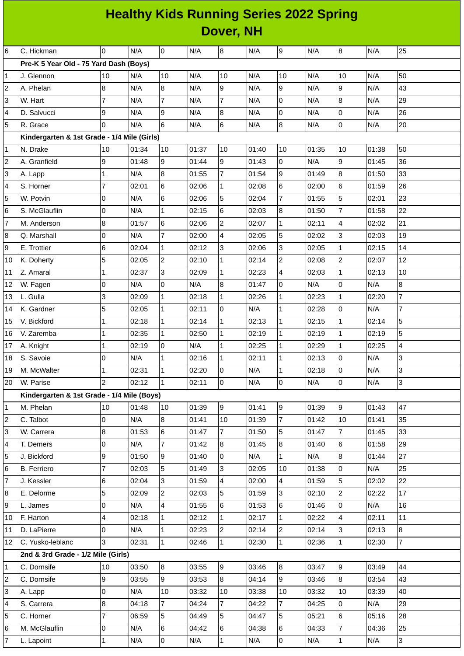## **Healthy Kids Running Series 2022 Spring Dover, NH**

| DUVUI, IVII             |                                             |                          |       |                |       |                 |       |                |       |                     |       |                |
|-------------------------|---------------------------------------------|--------------------------|-------|----------------|-------|-----------------|-------|----------------|-------|---------------------|-------|----------------|
| 6                       | C. Hickman                                  | 0                        | N/A   | 0              | N/A   | 8               | N/A   | 9              | N/A   | $\bf{8}$            | N/A   | 25             |
|                         | Pre-K 5 Year Old - 75 Yard Dash (Boys)      |                          |       |                |       |                 |       |                |       |                     |       |                |
| $\mathbf{1}$            | J. Glennon                                  | 10                       | N/A   | 10             | N/A   | 10              | N/A   | 10             | N/A   | 10                  | N/A   | 50             |
| 2                       | A. Phelan                                   | 8                        | N/A   | 8              | N/A   | 9               | N/A   | l9             | N/A   | 9                   | N/A   | 43             |
| 3                       | W. Hart                                     | $\overline{7}$           | N/A   | $\overline{7}$ | N/A   | $\overline{7}$  | N/A   | 0              | N/A   | 8                   | N/A   | 29             |
| 4                       | D. Salvucci                                 | 9                        | N/A   | 9              | N/A   | 8               | N/A   | $\overline{0}$ | N/A   | 0                   | N/A   | 26             |
| 5                       | R. Grace                                    | $\Omega$                 | N/A   | 6              | N/A   | $6\phantom{.}$  | N/A   | 8              | N/A   | 0                   | N/A   | 20             |
|                         | Kindergarten & 1st Grade - 1/4 Mile (Girls) |                          |       |                |       |                 |       |                |       |                     |       |                |
| $\mathbf 1$             | N. Drake                                    | 10                       | 01:34 | 10             | 01:37 | 10              | 01:40 | 10             | 01:35 | 10                  | 01:38 | 50             |
| 2                       | A. Granfield                                | 9                        | 01:48 | 9              | 01:44 | $\overline{9}$  | 01:43 | 0              | N/A   | 9                   | 01:45 | 36             |
| 3                       | A. Lapp                                     | $\mathbf{1}$             | N/A   | 8              | 01:55 | $\overline{7}$  | 01:54 | 9              | 01:49 | $\bf{8}$            | 01:50 | 33             |
| 4                       | S. Horner                                   | $\overline{7}$           | 02:01 | $\bf 6$        | 02:06 | $\mathbf{1}$    | 02:08 | $6\phantom{a}$ | 02:00 | 6                   | 01:59 | 26             |
| 5                       | W. Potvin                                   | 0                        | N/A   | 6              | 02:06 | 5               | 02:04 | $\overline{7}$ | 01:55 | 5                   | 02:01 | 23             |
| 6                       | S. McGlauflin                               | $\overline{0}$           | N/A   | $\mathbf 1$    | 02:15 | 6               | 02:03 | 8              | 01:50 | $\overline{7}$      | 01:58 | 22             |
| $\overline{7}$          | M. Anderson                                 | 8                        | 01:57 | 6              | 02:06 | $\overline{c}$  | 02:07 | $\mathbf{1}$   | 02:11 | 4                   | 02:02 | 21             |
| 8                       | Q. Marshall                                 | 0                        | N/A   | $\overline{7}$ | 02:00 | 4               | 02:05 | 5              | 02:02 | 3                   | 02:03 | 19             |
| 9                       | E. Trottier                                 | 6                        | 02:04 | $\mathbf 1$    | 02:12 | 3               | 02:06 | 3              | 02:05 | $\mathbf{1}$        | 02:15 | 14             |
| 10                      | K. Doherty                                  | 5                        | 02:05 | $\overline{c}$ | 02:10 | $\mathbf 1$     | 02:14 | $\overline{c}$ | 02:08 | $\overline{c}$      | 02:07 | 12             |
| 11                      | Z. Amaral                                   | $\mathbf{1}$             | 02:37 | 3              | 02:09 | 1               | 02:23 | 4              | 02:03 | 1                   | 02:13 | 10             |
| 12                      | W. Fagen                                    | 0                        | N/A   | $\pmb{0}$      | N/A   | $\bf{8}$        | 01:47 | $\overline{0}$ | N/A   | 0                   | N/A   | $\overline{8}$ |
| 13                      | L. Gulla                                    | 3                        | 02:09 | $\mathbf 1$    | 02:18 | $\mathbf{1}$    | 02:26 | $\mathbf{1}$   | 02:23 | $\mathbf{1}$        | 02:20 | $\overline{7}$ |
| 14                      | K. Gardner                                  | 5                        | 02:05 | $\mathbf 1$    | 02:11 | 0               | N/A   | $\mathbf{1}$   | 02:28 | 0                   | N/A   | $\overline{7}$ |
| 15                      | V. Bickford                                 | $\mathbf{1}$             | 02:18 | $\mathbf{1}$   | 02:14 | $\mathbf{1}$    | 02:13 | $\mathbf{1}$   | 02:15 | $\mathbf{1}$        | 02:14 | 5              |
| 16                      | V. Zaremba                                  | $\mathbf{1}$             | 02:35 | $\mathbf{1}$   | 02:50 | 1               | 02:19 | $\mathbf{1}$   | 02:19 | 1                   | 02:19 | 5              |
| 17                      | A. Knight                                   | $\mathbf{1}$             | 02:19 | $\mathsf 0$    | N/A   | $\mathbf{1}$    | 02:25 | $\mathbf{1}$   | 02:29 | $\mathbf{1}$        | 02:25 | 4              |
| 18                      | S. Savoie                                   | 0                        | N/A   | $\mathbf 1$    | 02:16 | $\mathbf{1}$    | 02:11 | $\mathbf{1}$   | 02:13 | 0                   | N/A   | 3              |
| 19                      | M. McWalter                                 | $\mathbf{1}$             | 02:31 | $\mathbf 1$    | 02:20 | 0               | N/A   | $\mathbf{1}$   | 02:18 | 0                   | N/A   | 3              |
| 20                      | W. Parise                                   | $\vert$ <sub>2</sub>     | 02:12 | $\overline{1}$ | 02:11 | 0               | N/A   | $\overline{0}$ | N/A   | $\mathsf{O}\xspace$ | N/A   | 3              |
|                         | Kindergarten & 1st Grade - 1/4 Mile (Boys)  |                          |       |                |       |                 |       |                |       |                     |       |                |
| $\mathbf 1$             | M. Phelan                                   | 10                       | 01:48 | 10             | 01:39 | 9               | 01:41 | 9              | 01:39 | $\overline{9}$      | 01:43 | 47             |
| 2                       | C. Talbot                                   | 0                        | N/A   | 8              | 01:41 | 10              | 01:39 | $\overline{7}$ | 01:42 | 10                  | 01:41 | 35             |
| 3                       | W. Carrera                                  | 8                        | 01:53 | 6              | 01:47 | 7               | 01:50 | 5              | 01:47 | 7                   | 01:45 | 33             |
| 4                       | T. Demers                                   | 0                        | N/A   | $\overline{7}$ | 01:42 | $8\,$           | 01:45 | 8              | 01:40 | 6                   | 01:58 | 29             |
| 5                       | J. Bickford                                 | 9                        | 01:50 | 9              | 01:40 | $\overline{0}$  | N/A   | $\mathbf{1}$   | N/A   | 8                   | 01:44 | 27             |
| 6                       | <b>B.</b> Ferriero                          | $\overline{7}$           | 02:03 | 5              | 01:49 | 3               | 02:05 | 10             | 01:38 | 0                   | N/A   | 25             |
| $\overline{7}$          | J. Kessler                                  | 6                        | 02:04 | 3              | 01:59 | 4               | 02:00 | $\overline{4}$ | 01:59 | 5                   | 02:02 | 22             |
| 8                       | E. Delorme                                  | 5                        | 02:09 | $\overline{c}$ | 02:03 | $5\overline{5}$ | 01:59 | 3              | 02:10 | $\overline{c}$      | 02:22 | 17             |
| 9                       | L. James                                    | $\mathsf 0$              | N/A   | 4              | 01:55 | 6               | 01:53 | $6\phantom{a}$ | 01:46 | 0                   | N/A   | 16             |
| 10                      | F. Harton                                   | $\overline{\mathcal{L}}$ | 02:18 | $\mathbf{1}$   | 02:12 | $\mathbf{1}$    | 02:17 | $\mathbf{1}$   | 02:22 | $\overline{4}$      | 02:11 | 11             |
| $11\,$                  | D. LaPierre                                 | 0                        | N/A   | $\mathbf{1}$   | 02:23 | $\overline{2}$  | 02:14 | $\overline{2}$ | 02:14 | 3                   | 02:13 | 8              |
| 12                      | C. Yusko-leblanc                            | 3                        | 02:31 | $\mathbf 1$    | 02:46 | $\mathbf{1}$    | 02:30 | $\mathbf{1}$   | 02:36 | $\mathbf{1}$        | 02:30 | $\overline{7}$ |
|                         | 2nd & 3rd Grade - 1/2 Mile (Girls)          |                          |       |                |       |                 |       |                |       |                     |       |                |
| 1                       | C. Dornsife                                 | 10                       | 03:50 | $\bf{8}$       | 03:55 | $\overline{9}$  | 03:46 | 8              | 03:47 | 9                   | 03:49 | 44             |
| $\overline{\mathbf{c}}$ | C. Dornsife                                 | 9                        | 03:55 | 9              | 03:53 | 8               | 04:14 | 9              | 03:46 | 8                   | 03:54 | 43             |
| 3                       | A. Lapp                                     | 0                        | N/A   | 10             | 03:32 | 10              | 03:38 | 10             | 03:32 | 10                  | 03:39 | 40             |
| 4                       | S. Carrera                                  | 8                        | 04:18 | $\overline{7}$ | 04:24 | $\overline{7}$  | 04:22 | $\overline{7}$ | 04:25 | 0                   | N/A   | 29             |
| 5                       | C. Horner                                   | $\overline{7}$           | 06:59 | 5              | 04:49 | 5               | 04:47 | 5              | 05:21 | 6                   | 05:16 | 28             |
| 6                       | M. McGlauflin                               | $\overline{0}$           | N/A   | 6              | 04:42 | 6               | 04:38 | 6              | 04:33 | 7                   | 04:36 | 25             |
| $\overline{7}$          | L. Lapoint                                  | $\mathbf 1$              | N/A   | $\overline{0}$ | N/A   | $\mathbf{1}$    | N/A   | $\overline{0}$ | N/A   | $\mathbf{1}$        | N/A   | $\mathbf{3}$   |